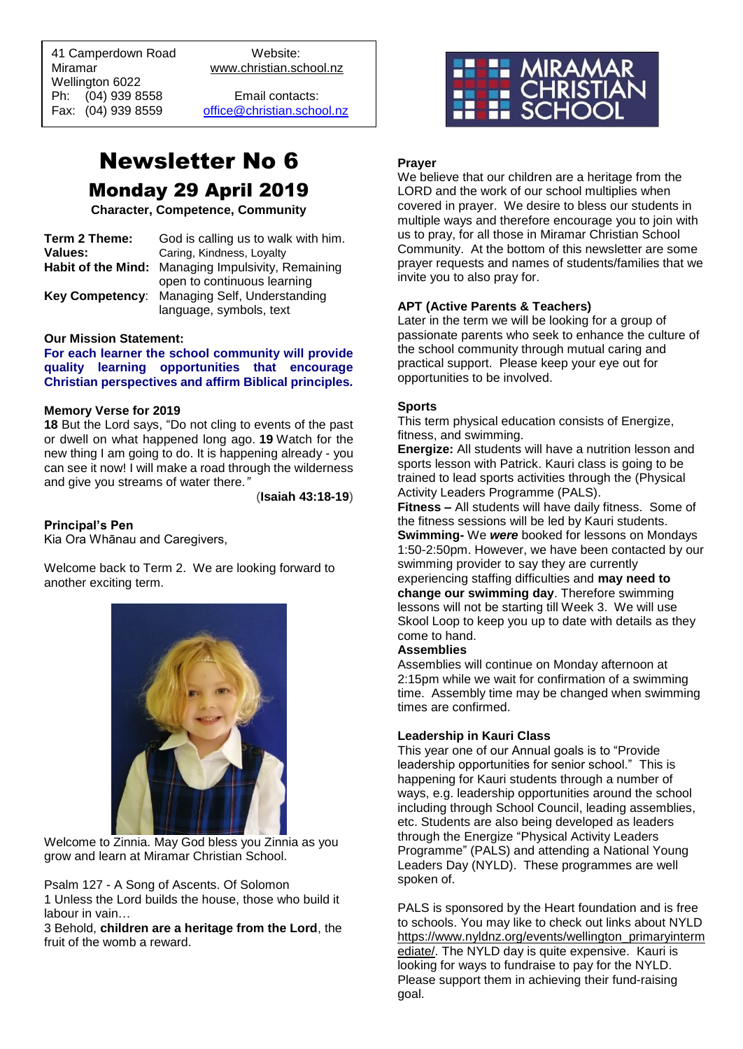41 Camperdown Road Website: Miramar www.christian.school.nz Wellington 6022 Ph: (04) 939 8558 Email contacts:

 $\overline{a}$ 

Fax: (04) 939 8559 [office@christian.school.nz](mailto:office@christian.school.nz)

# Newsletter No 6 Monday 29 April 2019

**Character, Competence, Community**

| Term 2 Theme: | God is calling us to walk with him.                |
|---------------|----------------------------------------------------|
| Values:       | Caring, Kindness, Loyalty                          |
|               | Habit of the Mind: Managing Impulsivity, Remaining |
|               | open to continuous learning                        |
|               | Key Competency: Managing Self, Understanding       |
|               | language, symbols, text                            |

#### **Our Mission Statement:**

**For each learner the school community will provide quality learning opportunities that encourage Christian perspectives and affirm Biblical principles***.*

#### **Memory Verse for 2019**

**18** But the Lord says, "Do not cling to events of the past or dwell on what happened long ago. **19** Watch for the new thing I am going to do. It is happening already - you can see it now! I will make a road through the wilderness and give you streams of water there*."*

(**Isaiah 43:18-19**)

#### **Principal's Pen**

Kia Ora Whānau and Caregivers,

Welcome back to Term 2. We are looking forward to another exciting term.



Welcome to Zinnia. May God bless you Zinnia as you grow and learn at Miramar Christian School.

Psalm 127 - A Song of Ascents. Of Solomon

1 Unless the Lord builds the house, those who build it labour in vain…

3 Behold, **children are a heritage from the Lord**, the fruit of the womb a reward.



#### **Prayer**

We believe that our children are a heritage from the LORD and the work of our school multiplies when covered in prayer. We desire to bless our students in multiple ways and therefore encourage you to join with us to pray, for all those in Miramar Christian School Community. At the bottom of this newsletter are some prayer requests and names of students/families that we invite you to also pray for.

#### **APT (Active Parents & Teachers)**

Later in the term we will be looking for a group of passionate parents who seek to enhance the culture of the school community through mutual caring and practical support. Please keep your eye out for opportunities to be involved.

#### **Sports**

This term physical education consists of Energize, fitness, and swimming.

**Energize:** All students will have a nutrition lesson and sports lesson with Patrick. Kauri class is going to be trained to lead sports activities through the (Physical Activity Leaders Programme (PALS).

**Fitness –** All students will have daily fitness. Some of the fitness sessions will be led by Kauri students. **Swimming-** We *were* booked for lessons on Mondays 1:50-2:50pm. However, we have been contacted by our swimming provider to say they are currently experiencing staffing difficulties and **may need to change our swimming day**. Therefore swimming lessons will not be starting till Week 3. We will use Skool Loop to keep you up to date with details as they come to hand.

#### **Assemblies**

Assemblies will continue on Monday afternoon at 2:15pm while we wait for confirmation of a swimming time. Assembly time may be changed when swimming times are confirmed.

#### **Leadership in Kauri Class**

This year one of our Annual goals is to "Provide leadership opportunities for senior school." This is happening for Kauri students through a number of ways, e.g. leadership opportunities around the school including through School Council, leading assemblies, etc. Students are also being developed as leaders through the Energize "Physical Activity Leaders Programme" (PALS) and attending a National Young Leaders Day (NYLD). These programmes are well spoken of.

PALS is sponsored by the Heart foundation and is free to schools. You may like to check out links about NYLD [https://www.nyldnz.org/events/wellington\\_primaryinterm](https://www.nyldnz.org/events/wellington_primaryintermediate/) [ediate/.](https://www.nyldnz.org/events/wellington_primaryintermediate/) The NYLD day is quite expensive. Kauri is looking for ways to fundraise to pay for the NYLD. Please support them in achieving their fund-raising goal.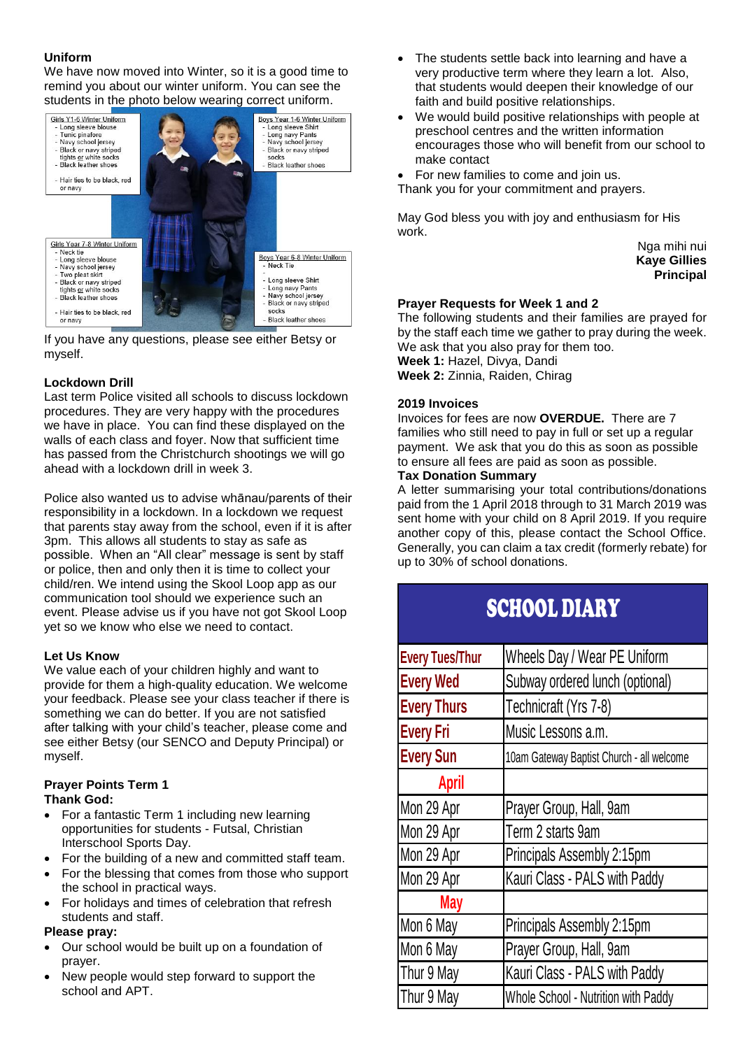# **Uniform**

We have now moved into Winter, so it is a good time to remind you about our winter uniform. You can see the students in the photo below wearing correct uniform.



If you have any questions, please see either Betsy or myself.

# **Lockdown Drill**

Last term Police visited all schools to discuss lockdown procedures. They are very happy with the procedures we have in place. You can find these displayed on the walls of each class and foyer. Now that sufficient time has passed from the Christchurch shootings we will go ahead with a lockdown drill in week 3.

Police also wanted us to advise whānau/parents of their responsibility in a lockdown. In a lockdown we request that parents stay away from the school, even if it is after 3pm. This allows all students to stay as safe as possible. When an "All clear" message is sent by staff or police, then and only then it is time to collect your child/ren. We intend using the Skool Loop app as our communication tool should we experience such an event. Please advise us if you have not got Skool Loop yet so we know who else we need to contact.

# **Let Us Know**

We value each of your children highly and want to provide for them a high-quality education. We welcome your feedback. Please see your class teacher if there is something we can do better. If you are not satisfied after talking with your child's teacher, please come and see either Betsy (our SENCO and Deputy Principal) or myself.

#### **Prayer Points Term 1 Thank God:**

- For a fantastic Term 1 including new learning opportunities for students - Futsal, Christian Interschool Sports Day.
- For the building of a new and committed staff team.
- For the blessing that comes from those who support the school in practical ways.
- For holidays and times of celebration that refresh students and staff.

# **Please pray:**

- Our school would be built up on a foundation of prayer.
- New people would step forward to support the school and APT.
- The students settle back into learning and have a very productive term where they learn a lot. Also, that students would deepen their knowledge of our faith and build positive relationships.
- We would build positive relationships with people at preschool centres and the written information encourages those who will benefit from our school to make contact
- For new families to come and join us.
- Thank you for your commitment and prayers.

May God bless you with joy and enthusiasm for His work.

> Nga mihi nui **Kaye Gillies Principal**

# **Prayer Requests for Week 1 and 2**

The following students and their families are prayed for by the staff each time we gather to pray during the week. We ask that you also pray for them too. **Week 1:** Hazel, Divya, Dandi **Week 2:** Zinnia, Raiden, Chirag

# **2019 Invoices**

Invoices for fees are now **OVERDUE.** There are 7 families who still need to pay in full or set up a regular payment. We ask that you do this as soon as possible to ensure all fees are paid as soon as possible.

# **Tax Donation Summary**

A letter summarising your total contributions/donations paid from the 1 April 2018 through to 31 March 2019 was sent home with your child on 8 April 2019. If you require another copy of this, please contact the School Office. Generally, you can claim a tax credit (formerly rebate) for up to 30% of school donations.

# SCHOOL DIARY

| Wheels Day / Wear PE Uniform              |
|-------------------------------------------|
| Subway ordered lunch (optional)           |
| Technicraft (Yrs 7-8)                     |
| Music Lessons a.m.                        |
| 10am Gateway Baptist Church - all welcome |
|                                           |
| Prayer Group, Hall, 9am                   |
| Term 2 starts 9am                         |
| Principals Assembly 2:15pm                |
| Kauri Class - PALS with Paddy             |
|                                           |
| Principals Assembly 2:15pm                |
| Prayer Group, Hall, 9am                   |
| Kauri Class - PALS with Paddy             |
| Whole School - Nutrition with Paddy       |
|                                           |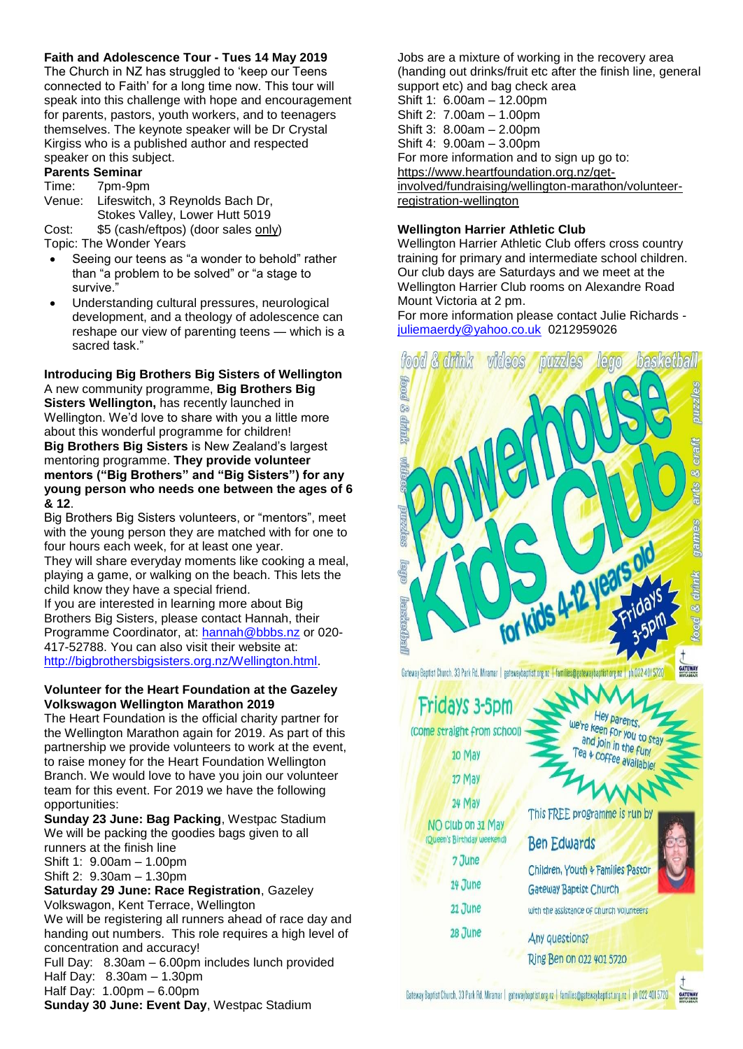# **Faith and Adolescence Tour - Tues 14 May 2019**

The Church in NZ has struggled to 'keep our Teens connected to Faith' for a long time now. This tour will speak into this challenge with hope and encouragement for parents, pastors, youth workers, and to teenagers themselves. The keynote speaker will be Dr Crystal Kirgiss who is a published author and respected speaker on this subject.

# **Parents Seminar**

#### Time: 7pm-9pm

Venue: Lifeswitch, 3 Reynolds Bach Dr, Stokes Valley, Lower Hutt 5019 Cost: \$5 (cash/eftpos) (door sales only)

Topic: The Wonder Years

- Seeing our teens as "a wonder to behold" rather than "a problem to be solved" or "a stage to survive."
- Understanding cultural pressures, neurological development, and a theology of adolescence can reshape our view of parenting teens — which is a sacred task."

**Introducing Big Brothers Big Sisters of Wellington**  A new community programme, **Big Brothers Big Sisters Wellington,** has recently launched in Wellington. We'd love to share with you a little more about this wonderful programme for children! **Big Brothers Big Sisters** is New Zealand's largest mentoring programme. **They provide volunteer mentors ("Big Brothers" and "Big Sisters") for any young person who needs one between the ages of 6 & 12**.

Big Brothers Big Sisters volunteers, or "mentors", meet with the young person they are matched with for one to four hours each week, for at least one year.

They will share everyday moments like cooking a meal, playing a game, or walking on the beach. This lets the child know they have a special friend.

If you are interested in learning more about Big Brothers Big Sisters, please contact Hannah, their Programme Coordinator, at: [hannah@bbbs.nz](mailto:hannah@bbbs.nz) or 020- 417-52788. You can also visit their website at: [http://bigbrothersbigsisters.org.nz/Wellington.html.](http://bigbrothersbigsisters.org.nz/Wellington.html)

#### **Volunteer for the Heart Foundation at the Gazeley Volkswagon Wellington Marathon 2019**

The Heart Foundation is the official charity partner for the Wellington Marathon again for 2019. As part of this partnership we provide volunteers to work at the event, to raise money for the Heart Foundation Wellington Branch. We would love to have you join our volunteer team for this event. For 2019 we have the following opportunities:

**Sunday 23 June: Bag Packing**, Westpac Stadium We will be packing the goodies bags given to all runners at the finish line

Shift 1: 9.00am – 1.00pm

Shift 2: 9.30am – 1.30pm

#### **Saturday 29 June: Race Registration**, Gazeley Volkswagon, Kent Terrace, Wellington

We will be registering all runners ahead of race day and handing out numbers. This role requires a high level of concentration and accuracy!

Full Day: 8.30am – 6.00pm includes lunch provided Half Day: 8.30am – 1.30pm

Half Day: 1.00pm – 6.00pm

**Sunday 30 June: Event Day**, Westpac Stadium

Jobs are a mixture of working in the recovery area (handing out drinks/fruit etc after the finish line, general support etc) and bag check area Shift 1: 6.00am – 12.00pm

Shift 2: 7.00am – 1.00pm Shift 3: 8.00am – 2.00pm Shift 4: 9.00am – 3.00pm For more information and to sign up go to: [https://www.heartfoundation.org.nz/get](https://www.heartfoundation.org.nz/get-involved/fundraising/wellington-marathon/volunteer-registration-wellington)[involved/fundraising/wellington-marathon/volunteer](https://www.heartfoundation.org.nz/get-involved/fundraising/wellington-marathon/volunteer-registration-wellington)[registration-wellington](https://www.heartfoundation.org.nz/get-involved/fundraising/wellington-marathon/volunteer-registration-wellington)

# **Wellington Harrier Athletic Club**

Wellington Harrier Athletic Club offers cross country training for primary and intermediate school children. Our club days are Saturdays and we meet at the Wellington Harrier Club rooms on Alexandre Road Mount Victoria at 2 pm.

For more information please contact Julie Richards [juliemaerdy@yahoo.co.uk](mailto:juliemaerdy@yahoo.co.uk) 0212959026



**GATEWAY**